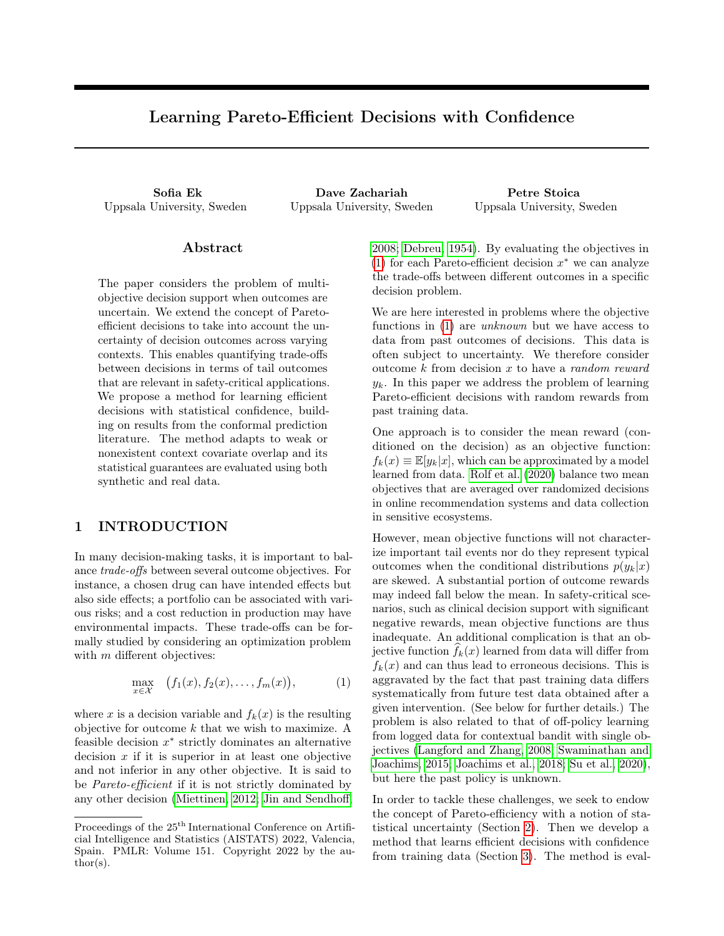# Learning Pareto-Efficient Decisions with Confidence

Uppsala University, Sweden Uppsala University, Sweden Uppsala University, Sweden

Sofia Ek Dave Zachariah Petre Stoica

### Abstract

The paper considers the problem of multiobjective decision support when outcomes are uncertain. We extend the concept of Paretoefficient decisions to take into account the uncertainty of decision outcomes across varying contexts. This enables quantifying trade-offs between decisions in terms of tail outcomes that are relevant in safety-critical applications. We propose a method for learning efficient decisions with statistical confidence, building on results from the conformal prediction literature. The method adapts to weak or nonexistent context covariate overlap and its statistical guarantees are evaluated using both synthetic and real data.

## 1 INTRODUCTION

In many decision-making tasks, it is important to balance trade-offs between several outcome objectives. For instance, a chosen drug can have intended effects but also side effects; a portfolio can be associated with various risks; and a cost reduction in production may have environmental impacts. These trade-offs can be formally studied by considering an optimization problem with  $m$  different objectives:

$$
\max_{x \in \mathcal{X}} \quad (f_1(x), f_2(x), \dots, f_m(x)), \tag{1}
$$

where x is a decision variable and  $f_k(x)$  is the resulting objective for outcome  $k$  that we wish to maximize. A feasible decision  $x^*$  strictly dominates an alternative decision  $x$  if it is superior in at least one objective and not inferior in any other objective. It is said to be Pareto-efficient if it is not strictly dominated by any other decision [\(Miettinen, 2012;](#page-8-0) [Jin and Sendhoff,](#page-8-1) [2008;](#page-8-1) [Debreu, 1954\)](#page-8-2). By evaluating the objectives in [\(1\)](#page-0-0) for each Pareto-efficient decision  $x^*$  we can analyze the trade-offs between different outcomes in a specific decision problem.

We are here interested in problems where the objective functions in [\(1\)](#page-0-0) are unknown but we have access to data from past outcomes of decisions. This data is often subject to uncertainty. We therefore consider outcome  $k$  from decision  $x$  to have a *random reward*  $y_k$ . In this paper we address the problem of learning Pareto-efficient decisions with random rewards from past training data.

One approach is to consider the mean reward (conditioned on the decision) as an objective function:  $f_k(x) \equiv \mathbb{E}[y_k|x]$ , which can be approximated by a model learned from data. [Rolf et al.](#page-8-3) [\(2020\)](#page-8-3) balance two mean objectives that are averaged over randomized decisions in online recommendation systems and data collection in sensitive ecosystems.

However, mean objective functions will not characterize important tail events nor do they represent typical outcomes when the conditional distributions  $p(y_k|x)$ are skewed. A substantial portion of outcome rewards may indeed fall below the mean. In safety-critical scenarios, such as clinical decision support with significant negative rewards, mean objective functions are thus inadequate. An additional complication is that an objective function  $f_k(x)$  learned from data will differ from  $f_k(x)$  and can thus lead to erroneous decisions. This is aggravated by the fact that past training data differs systematically from future test data obtained after a given intervention. (See below for further details.) The problem is also related to that of off-policy learning from logged data for contextual bandit with single objectives [\(Langford and Zhang, 2008;](#page-8-4) [Swaminathan and](#page-9-0) [Joachims, 2015;](#page-9-0) [Joachims et al., 2018;](#page-8-5) [Su et al., 2020\)](#page-9-1), but here the past policy is unknown.

<span id="page-0-0"></span>In order to tackle these challenges, we seek to endow the concept of Pareto-efficiency with a notion of statistical uncertainty (Section [2\)](#page-1-0). Then we develop a method that learns efficient decisions with confidence from training data (Section [3\)](#page-2-0). The method is eval-

Proceedings of the  $25<sup>th</sup>$  International Conference on Artificial Intelligence and Statistics (AISTATS) 2022, Valencia, Spain. PMLR: Volume 151. Copyright 2022 by the au- $\text{thor}(s)$ .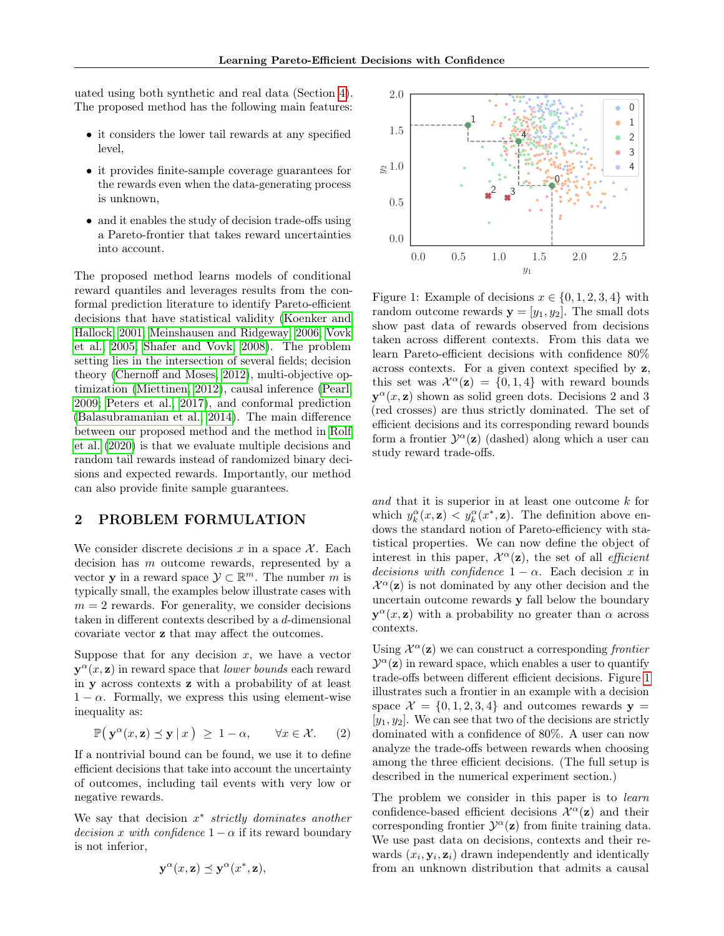uated using both synthetic and real data (Section [4\)](#page-4-0). The proposed method has the following main features:

- it considers the lower tail rewards at any specified level,
- it provides finite-sample coverage guarantees for the rewards even when the data-generating process is unknown,
- and it enables the study of decision trade-offs using a Pareto-frontier that takes reward uncertainties into account.

The proposed method learns models of conditional reward quantiles and leverages results from the conformal prediction literature to identify Pareto-efficient decisions that have statistical validity [\(Koenker and](#page-8-6) [Hallock, 2001;](#page-8-6) [Meinshausen and Ridgeway, 2006;](#page-8-7) [Vovk](#page-9-2) [et al., 2005;](#page-9-2) [Shafer and Vovk, 2008\)](#page-9-3). The problem setting lies in the intersection of several fields; decision theory [\(Chernoff and Moses, 2012\)](#page-8-8), multi-objective optimization [\(Miettinen, 2012\)](#page-8-0), causal inference [\(Pearl,](#page-8-9) [2009;](#page-8-9) [Peters et al., 2017\)](#page-8-10), and conformal prediction [\(Balasubramanian et al., 2014\)](#page-8-11). The main difference between our proposed method and the method in [Rolf](#page-8-3) [et al.](#page-8-3) [\(2020\)](#page-8-3) is that we evaluate multiple decisions and random tail rewards instead of randomized binary decisions and expected rewards. Importantly, our method can also provide finite sample guarantees.

# <span id="page-1-0"></span>2 PROBLEM FORMULATION

We consider discrete decisions x in a space  $\mathcal{X}$ . Each decision has m outcome rewards, represented by a vector **y** in a reward space  $\mathcal{Y} \subset \mathbb{R}^m$ . The number m is typically small, the examples below illustrate cases with  $m = 2$  rewards. For generality, we consider decisions taken in different contexts described by a d-dimensional covariate vector z that may affect the outcomes.

Suppose that for any decision  $x$ , we have a vector  $y^{\alpha}(x, z)$  in reward space that *lower bounds* each reward in y across contexts z with a probability of at least  $1 - \alpha$ . Formally, we express this using element-wise inequality as:

$$
\mathbb{P}\big(\mathbf{y}^{\alpha}(x,\mathbf{z}) \preceq \mathbf{y} \,|\, x\big) \geq 1 - \alpha, \qquad \forall x \in \mathcal{X}.\tag{2}
$$

If a nontrivial bound can be found, we use it to define efficient decisions that take into account the uncertainty of outcomes, including tail events with very low or negative rewards.

We say that decision  $x^*$  strictly dominates another *decision x with confidence*  $1 - \alpha$  if its reward boundary is not inferior,

$$
\mathbf{y}^{\alpha}(x, \mathbf{z}) \preceq \mathbf{y}^{\alpha}(x^*, \mathbf{z}),
$$

<span id="page-1-1"></span>

Figure 1: Example of decisions  $x \in \{0, 1, 2, 3, 4\}$  with random outcome rewards  $y = [y_1, y_2]$ . The small dots show past data of rewards observed from decisions taken across different contexts. From this data we learn Pareto-efficient decisions with confidence 80% across contexts. For a given context specified by z, this set was  $\mathcal{X}^{\alpha}(\mathbf{z}) = \{0, 1, 4\}$  with reward bounds  $y^{\alpha}(x, z)$  shown as solid green dots. Decisions 2 and 3 (red crosses) are thus strictly dominated. The set of efficient decisions and its corresponding reward bounds form a frontier  $\mathcal{Y}^{\alpha}(\mathbf{z})$  (dashed) along which a user can study reward trade-offs.

and that it is superior in at least one outcome k for which  $y_k^{\alpha}(x, \mathbf{z}) < y_k^{\alpha}(x^*, \mathbf{z})$ . The definition above endows the standard notion of Pareto-efficiency with statistical properties. We can now define the object of interest in this paper,  $\mathcal{X}^{\alpha}(\mathbf{z})$ , the set of all *efficient* decisions with confidence  $1 - \alpha$ . Each decision x in  $\mathcal{X}^{\alpha}(\mathbf{z})$  is not dominated by any other decision and the uncertain outcome rewards y fall below the boundary  $y^{\alpha}(x, z)$  with a probability no greater than  $\alpha$  across contexts.

Using  $\mathcal{X}^{\alpha}(\mathbf{z})$  we can construct a corresponding frontier  $\mathcal{Y}^{\alpha}(\mathbf{z})$  in reward space, which enables a user to quantify trade-offs between different efficient decisions. Figure [1](#page-1-1) illustrates such a frontier in an example with a decision space  $\mathcal{X} = \{0, 1, 2, 3, 4\}$  and outcomes rewards  $\mathbf{y} =$  $[y_1, y_2]$ . We can see that two of the decisions are strictly dominated with a confidence of 80%. A user can now analyze the trade-offs between rewards when choosing among the three efficient decisions. (The full setup is described in the numerical experiment section.)

<span id="page-1-2"></span>The problem we consider in this paper is to *learn* confidence-based efficient decisions  $\mathcal{X}^{\alpha}(\mathbf{z})$  and their corresponding frontier  $\mathcal{Y}^{\alpha}(\mathbf{z})$  from finite training data. We use past data on decisions, contexts and their rewards  $(x_i, y_i, z_i)$  drawn independently and identically from an unknown distribution that admits a causal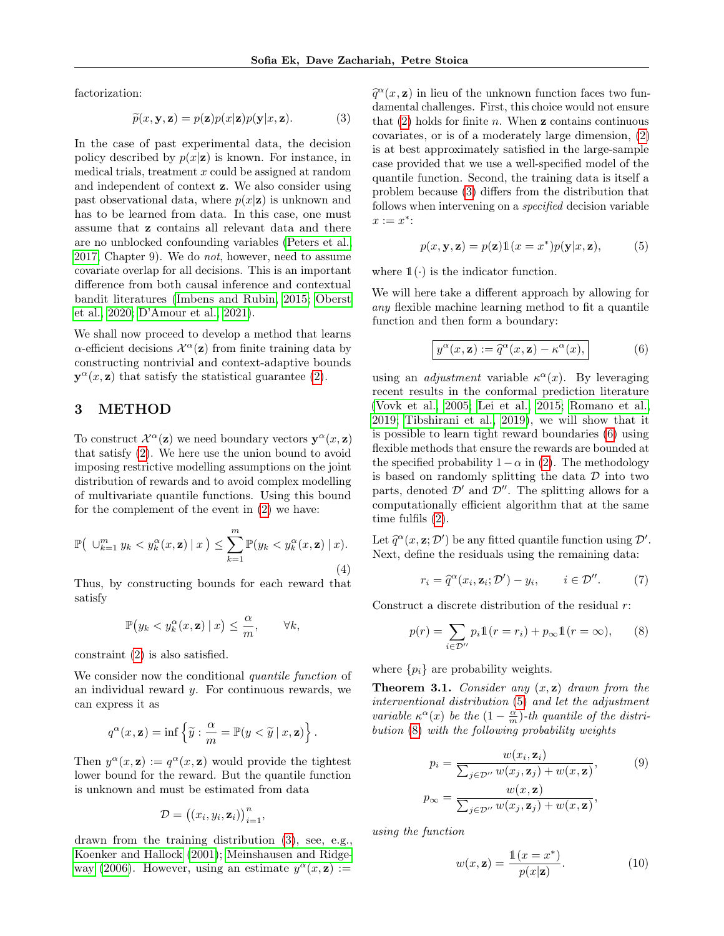factorization:

$$
\widetilde{p}(x, \mathbf{y}, \mathbf{z}) = p(\mathbf{z})p(x|\mathbf{z})p(\mathbf{y}|x, \mathbf{z}).
$$
\n(3)

In the case of past experimental data, the decision policy described by  $p(x|\mathbf{z})$  is known. For instance, in medical trials, treatment  $x$  could be assigned at random and independent of context z. We also consider using past observational data, where  $p(x|\mathbf{z})$  is unknown and has to be learned from data. In this case, one must assume that z contains all relevant data and there are no unblocked confounding variables [\(Peters et al.,](#page-8-10) [2017,](#page-8-10) Chapter 9). We do not, however, need to assume covariate overlap for all decisions. This is an important difference from both causal inference and contextual bandit literatures [\(Imbens and Rubin, 2015;](#page-8-12) [Oberst](#page-8-13) [et al., 2020;](#page-8-13) [D'Amour et al., 2021\)](#page-8-14).

We shall now proceed to develop a method that learns  $\alpha$ -efficient decisions  $\mathcal{X}^{\alpha}(\mathbf{z})$  from finite training data by constructing nontrivial and context-adaptive bounds  $y^{\alpha}(x, z)$  that satisfy the statistical guarantee [\(2\)](#page-1-2).

# <span id="page-2-0"></span>3 METHOD

To construct  $\mathcal{X}^{\alpha}(\mathbf{z})$  we need boundary vectors  $\mathbf{y}^{\alpha}(x, \mathbf{z})$ that satisfy [\(2\)](#page-1-2). We here use the union bound to avoid imposing restrictive modelling assumptions on the joint distribution of rewards and to avoid complex modelling of multivariate quantile functions. Using this bound for the complement of the event in [\(2\)](#page-1-2) we have:

$$
\mathbb{P}\left(\bigcup_{k=1}^{m} y_k < y_k^{\alpha}(x, \mathbf{z}) \mid x\right) \le \sum_{k=1}^{m} \mathbb{P}(y_k < y_k^{\alpha}(x, \mathbf{z}) \mid x). \tag{4}
$$

Thus, by constructing bounds for each reward that satisfy

$$
\mathbb{P}(y_k < y_k^{\alpha}(x, \mathbf{z}) \mid x) \leq \frac{\alpha}{m}, \qquad \forall k,
$$

constraint [\(2\)](#page-1-2) is also satisfied.

We consider now the conditional *quantile function* of an individual reward  $y$ . For continuous rewards, we can express it as

$$
q^{\alpha}(x, \mathbf{z}) = \inf \left\{ \widetilde{y} : \frac{\alpha}{m} = \mathbb{P}(y < \widetilde{y} \mid x, \mathbf{z}) \right\}.
$$

Then  $y^{\alpha}(x, \mathbf{z}) := q^{\alpha}(x, \mathbf{z})$  would provide the tightest lower bound for the reward. But the quantile function is unknown and must be estimated from data

$$
\mathcal{D} = ((x_i, y_i, \mathbf{z}_i))_{i=1}^n,
$$

drawn from the training distribution [\(3\)](#page-2-1), see, e.g., [Koenker and Hallock](#page-8-6) [\(2001\)](#page-8-6); [Meinshausen and Ridge](#page-8-7)[way](#page-8-7) [\(2006\)](#page-8-7). However, using an estimate  $y^{\alpha}(x, \mathbf{z}) :=$ 

<span id="page-2-1"></span> $\hat{q}^{\alpha}(x, z)$  in lieu of the unknown function faces two fun-<br>damontal challenges. First, this choice would not opened damental challenges. First, this choice would not ensure that  $(2)$  holds for finite n. When **z** contains continuous covariates, or is of a moderately large dimension, [\(2\)](#page-1-2) is at best approximately satisfied in the large-sample case provided that we use a well-specified model of the quantile function. Second, the training data is itself a problem because [\(3\)](#page-2-1) differs from the distribution that follows when intervening on a specified decision variable  $x := x^*$ :

<span id="page-2-3"></span>
$$
p(x, y, z) = p(z)1(x = x^*)p(y|x, z),
$$
 (5)

where  $\mathbb{1}(\cdot)$  is the indicator function.

We will here take a different approach by allowing for any flexible machine learning method to fit a quantile function and then form a boundary:

<span id="page-2-2"></span>
$$
y^{\alpha}(x, \mathbf{z}) := \hat{q}^{\alpha}(x, \mathbf{z}) - \kappa^{\alpha}(x),
$$
 (6)

using an *adjustment* variable  $\kappa^{\alpha}(x)$ . By leveraging recent results in the conformal prediction literature [\(Vovk et al., 2005;](#page-9-2) [Lei et al., 2015;](#page-8-15) [Romano et al.,](#page-8-16) [2019;](#page-8-16) [Tibshirani et al., 2019\)](#page-9-4), we will show that it is possible to learn tight reward boundaries [\(6\)](#page-2-2) using flexible methods that ensure the rewards are bounded at the specified probability  $1-\alpha$  in [\(2\)](#page-1-2). The methodology is based on randomly splitting the data  $\mathcal D$  into two parts, denoted  $\mathcal{D}'$  and  $\mathcal{D}''$ . The splitting allows for a computationally efficient algorithm that at the same time fulfils [\(2\)](#page-1-2).

<span id="page-2-6"></span>Let  $\widehat{q}^{\alpha}(x, \mathbf{z}; \mathcal{D}')$  be any fitted quantile function using  $\mathcal{D}'$ .<br>Nove dofine the residuals using the remaining data: Next, define the residuals using the remaining data:

<span id="page-2-5"></span><span id="page-2-4"></span>
$$
r_i = \hat{q}^{\alpha}(x_i, \mathbf{z}_i; \mathcal{D}') - y_i, \qquad i \in \mathcal{D}''.
$$
 (7)

Construct a discrete distribution of the residual  $r$ :

$$
p(r) = \sum_{i \in \mathcal{D}''} p_i \mathbb{1}(r = r_i) + p_{\infty} \mathbb{1}(r = \infty), \qquad (8)
$$

where  $\{p_i\}$  are probability weights.

**Theorem 3.1.** Consider any  $(x, z)$  drawn from the interventional distribution [\(5\)](#page-2-3) and let the adjustment variable  $\kappa^{\alpha}(x)$  be the  $(1-\frac{\alpha}{m})$ -th quantile of the distribution [\(8\)](#page-2-4) with the following probability weights

$$
p_i = \frac{w(x_i, \mathbf{z}_i)}{\sum_{j \in \mathcal{D}''} w(x_j, \mathbf{z}_j) + w(x, \mathbf{z})},\tag{9}
$$

$$
p_{\infty} = \frac{w(x, \mathbf{z})}{\sum_{j \in \mathcal{D}''} w(x_j, \mathbf{z}_j) + w(x, \mathbf{z})},
$$

using the function

<span id="page-2-8"></span><span id="page-2-7"></span>
$$
w(x, \mathbf{z}) = \frac{\mathbb{1}(x = x^*)}{p(x|\mathbf{z})}.
$$
 (10)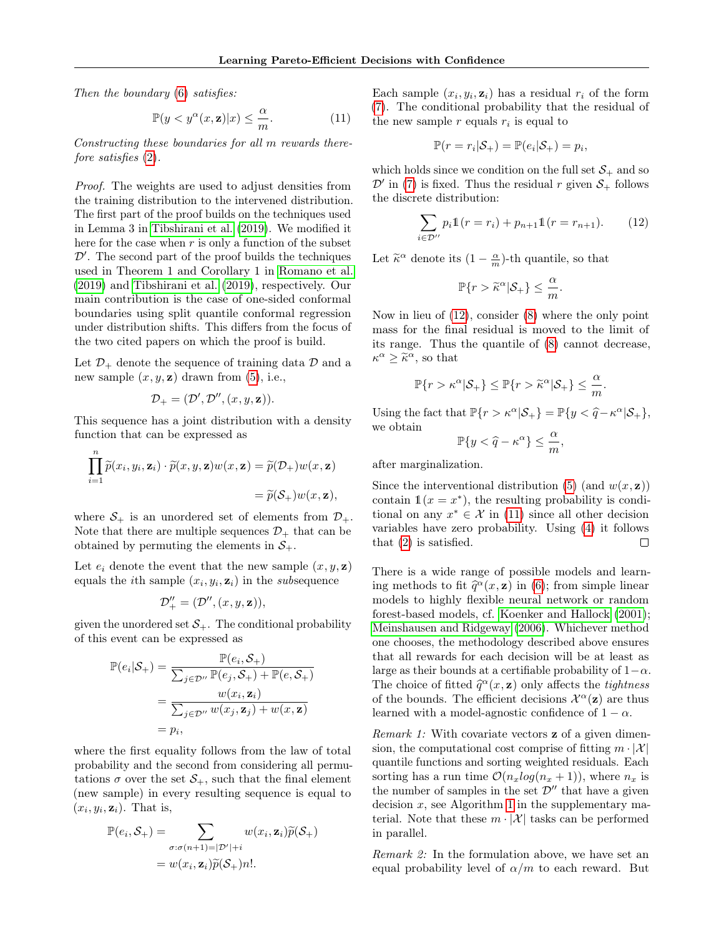Then the boundary [\(6\)](#page-2-2) satisfies:

$$
\mathbb{P}(y < y^{\alpha}(x, \mathbf{z})|x) \le \frac{\alpha}{m}.\tag{11}
$$

Constructing these boundaries for all m rewards therefore satisfies [\(2\)](#page-1-2).

Proof. The weights are used to adjust densities from the training distribution to the intervened distribution. The first part of the proof builds on the techniques used in Lemma 3 in [Tibshirani et al.](#page-9-4) [\(2019\)](#page-9-4). We modified it here for the case when  $r$  is only a function of the subset  $\mathcal{D}^\prime.$  The second part of the proof builds the techniques used in Theorem 1 and Corollary 1 in [Romano et al.](#page-8-16) [\(2019\)](#page-8-16) and [Tibshirani et al.](#page-9-4) [\(2019\)](#page-9-4), respectively. Our main contribution is the case of one-sided conformal boundaries using split quantile conformal regression under distribution shifts. This differs from the focus of the two cited papers on which the proof is build.

Let  $\mathcal{D}_+$  denote the sequence of training data  $\mathcal D$  and a new sample  $(x, y, z)$  drawn from  $(5)$ , i.e.,

$$
\mathcal{D}_+=(\mathcal{D}',\mathcal{D}'',(x,y,\mathbf{z})).
$$

This sequence has a joint distribution with a density function that can be expressed as

$$
\prod_{i=1}^n \widetilde{p}(x_i, y_i, \mathbf{z}_i) \cdot \widetilde{p}(x, y, \mathbf{z}) w(x, \mathbf{z}) = \widetilde{p}(\mathcal{D}_+) w(x, \mathbf{z})
$$
  
=  $\widetilde{p}(\mathcal{S}_+) w(x, \mathbf{z}),$ 

where  $S_+$  is an unordered set of elements from  $\mathcal{D}_+$ . Note that there are multiple sequences  $\mathcal{D}_+$  that can be obtained by permuting the elements in  $S_+$ .

Let  $e_i$  denote the event that the new sample  $(x, y, z)$ equals the *i*<sup>th</sup> sample  $(x_i, y_i, \mathbf{z}_i)$  in the *subsequence* 

$$
\mathcal{D}''_+ = (\mathcal{D}'', (x,y,\mathbf{z})),
$$

given the unordered set  $S_{+}$ . The conditional probability of this event can be expressed as

$$
\mathbb{P}(e_i|\mathcal{S}_+) = \frac{\mathbb{P}(e_i, \mathcal{S}_+)}{\sum_{j \in \mathcal{D}'} \mathbb{P}(e_j, \mathcal{S}_+) + \mathbb{P}(e, \mathcal{S}_+)}
$$
  
= 
$$
\frac{w(x_i, \mathbf{z}_i)}{\sum_{j \in \mathcal{D}'} w(x_j, \mathbf{z}_j) + w(x, \mathbf{z})}
$$
  
= 
$$
p_i,
$$

where the first equality follows from the law of total probability and the second from considering all permutations  $\sigma$  over the set  $S_+$ , such that the final element (new sample) in every resulting sequence is equal to  $(x_i, y_i, \mathbf{z}_i)$ . That is,

$$
\mathbb{P}(e_i, S_+) = \sum_{\sigma : \sigma(n+1) = |\mathcal{D}'| + i} w(x_i, \mathbf{z}_i) \widetilde{p}(S_+)
$$

$$
= w(x_i, \mathbf{z}_i) \widetilde{p}(S_+) n!.
$$

<span id="page-3-1"></span>Each sample  $(x_i, y_i, \mathbf{z}_i)$  has a residual  $r_i$  of the form [\(7\)](#page-2-5). The conditional probability that the residual of the new sample  $r$  equals  $r_i$  is equal to

$$
\mathbb{P}(r=r_i|\mathcal{S}_+) = \mathbb{P}(e_i|\mathcal{S}_+) = p_i,
$$

which holds since we condition on the full set  $S_+$  and so  $\mathcal{D}'$  in [\(7\)](#page-2-5) is fixed. Thus the residual r given  $\mathcal{S}_+$  follows the discrete distribution:

$$
\sum_{i \in \mathcal{D}''} p_i \mathbb{1}(r = r_i) + p_{n+1} \mathbb{1}(r = r_{n+1}). \tag{12}
$$

Let  $\tilde{\kappa}^{\alpha}$  denote its  $(1 - \frac{\alpha}{m})$ -th quantile, so that

<span id="page-3-0"></span>
$$
\mathbb{P}\{r > \widetilde{\kappa}^{\alpha}|\mathcal{S}_+\} \leq \frac{\alpha}{m}.
$$

Now in lieu of [\(12\)](#page-3-0), consider [\(8\)](#page-2-4) where the only point mass for the final residual is moved to the limit of its range. Thus the quantile of [\(8\)](#page-2-4) cannot decrease,  $\kappa^{\alpha} \geq \tilde{\kappa}^{\alpha}$ , so that

$$
\mathbb{P}\{r > \kappa^{\alpha}|\mathcal{S}_+\} \leq \mathbb{P}\{r > \widetilde{\kappa}^{\alpha}|\mathcal{S}_+\} \leq \frac{\alpha}{m}.
$$

Using the fact that  $\mathbb{P}\{r > \kappa^{\alpha}|\mathcal{S}_+\} = \mathbb{P}\{y < \widehat{q} - \kappa^{\alpha}|\mathcal{S}_+\},$ we obtain

$$
\mathbb{P}\{y<\widehat{q}-\kappa^{\alpha}\}\leq \frac{\alpha}{m},
$$

after marginalization.

Since the interventional distribution [\(5\)](#page-2-3) (and  $w(x, z)$ ) contain  $\mathbb{1}(x = x^*)$ , the resulting probability is conditional on any  $x^* \in \mathcal{X}$  in [\(11\)](#page-3-1) since all other decision variables have zero probability. Using [\(4\)](#page-2-6) it follows that [\(2\)](#page-1-2) is satisfied.  $\Box$ 

There is a wide range of possible models and learning methods to fit  $\tilde{q}^{\alpha}(x, z)$  in [\(6\)](#page-2-2); from simple linear<br>models to highly floxible neural network or random models to highly flexible neural network or random forest-based models, cf. [Koenker and Hallock](#page-8-6) [\(2001\)](#page-8-6); [Meinshausen and Ridgeway](#page-8-7) [\(2006\)](#page-8-7). Whichever method one chooses, the methodology described above ensures that all rewards for each decision will be at least as large as their bounds at a certifiable probability of  $1-\alpha$ . The choice of fitted  $\hat{q}^{\alpha}(x, z)$  only affects the *tightness*<br>of the bounds. The officient decisions  $\mathcal{Y}^{\alpha}(z)$  are thus of the bounds. The efficient decisions  $\mathcal{X}^{\alpha}(\mathbf{z})$  are thus learned with a model-agnostic confidence of  $1 - \alpha$ .

Remark 1: With covariate vectors **z** of a given dimension, the computational cost comprise of fitting  $m \cdot |\mathcal{X}|$ quantile functions and sorting weighted residuals. Each sorting has a run time  $\mathcal{O}(n_x \log(n_x + 1))$ , where  $n_x$  is the number of samples in the set  $\mathcal{D}^{\prime\prime}$  that have a given decision  $x$ , see Algorithm [1](#page-10-0) in the supplementary material. Note that these  $m \cdot |\mathcal{X}|$  tasks can be performed in parallel.

Remark 2: In the formulation above, we have set an equal probability level of  $\alpha/m$  to each reward. But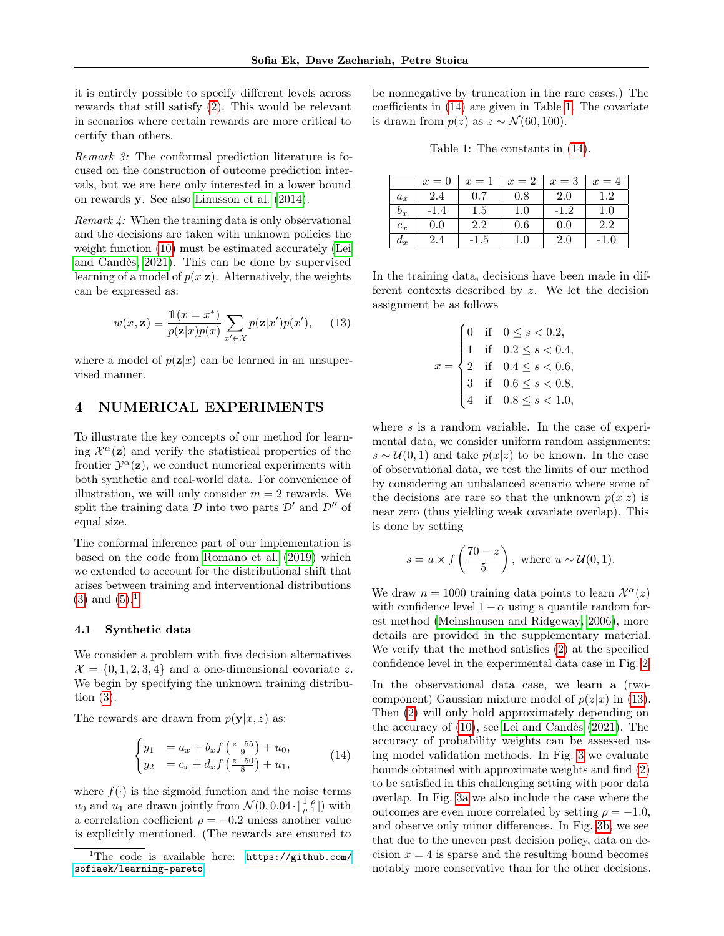it is entirely possible to specify different levels across rewards that still satisfy [\(2\)](#page-1-2). This would be relevant in scenarios where certain rewards are more critical to certify than others.

Remark 3: The conformal prediction literature is focused on the construction of outcome prediction intervals, but we are here only interested in a lower bound on rewards y. See also [Linusson et al.](#page-8-17) [\(2014\)](#page-8-17).

Remark 4: When the training data is only observational and the decisions are taken with unknown policies the weight function [\(10\)](#page-2-7) must be estimated accurately [\(Lei](#page-8-18) [and Candès, 2021\)](#page-8-18). This can be done by supervised learning of a model of  $p(x|z)$ . Alternatively, the weights can be expressed as:

$$
w(x, \mathbf{z}) \equiv \frac{\mathbb{1}(x = x^*)}{p(\mathbf{z}|x)p(x)} \sum_{x' \in \mathcal{X}} p(\mathbf{z}|x')p(x'), \quad (13)
$$

where a model of  $p(\mathbf{z}|x)$  can be learned in an unsupervised manner.

## <span id="page-4-0"></span>4 NUMERICAL EXPERIMENTS

To illustrate the key concepts of our method for learning  $\mathcal{X}^{\alpha}(\mathbf{z})$  and verify the statistical properties of the frontier  $\mathcal{Y}^{\alpha}(\mathbf{z})$ , we conduct numerical experiments with both synthetic and real-world data. For convenience of illustration, we will only consider  $m = 2$  rewards. We split the training data  $\mathcal D$  into two parts  $\mathcal D'$  and  $\mathcal D''$  of equal size.

The conformal inference part of our implementation is based on the code from [Romano et al.](#page-8-16) [\(2019\)](#page-8-16) which we extended to account for the distributional shift that arises between training and interventional distributions  $(3)$  and  $(5).<sup>1</sup>$  $(5).<sup>1</sup>$  $(5).<sup>1</sup>$  $(5).<sup>1</sup>$ 

#### <span id="page-4-5"></span>4.1 Synthetic data

We consider a problem with five decision alternatives  $\mathcal{X} = \{0, 1, 2, 3, 4\}$  and a one-dimensional covariate z. We begin by specifying the unknown training distribution [\(3\)](#page-2-1).

The rewards are drawn from  $p(\mathbf{y}|x, z)$  as:

$$
\begin{cases}\n y_1 &= a_x + b_x f \left( \frac{z - 55}{9} \right) + u_0, \\
 y_2 &= c_x + d_x f \left( \frac{z - 50}{8} \right) + u_1,\n\end{cases} \tag{14}
$$

where  $f(\cdot)$  is the sigmoid function and the noise terms  $u_0$  and  $u_1$  are drawn jointly from  $\mathcal{N}(0, 0.04 \cdot \left[\frac{1}{\rho} \frac{\rho}{1}\right])$  with a correlation coefficient  $\rho = -0.2$  unless another value is explicitly mentioned. (The rewards are ensured to be nonnegative by truncation in the rare cases.) The coefficients in [\(14\)](#page-4-2) are given in Table [1.](#page-4-3) The covariate is drawn from  $p(z)$  as  $z \sim \mathcal{N}(60, 100)$ .

Table 1: The constants in [\(14\)](#page-4-2).

<span id="page-4-3"></span>

|       | $x=0$ | $x=1$   | $x=2$   | $x=3$ | $x=4$ |
|-------|-------|---------|---------|-------|-------|
| $a_x$ | 2.4   | 0.7     | 0.8     | 2.0   |       |
| $b_x$ | -1.4  | $1.5\,$ | 1.0     | -1.2  |       |
| $c_x$ | 0.0   | 2.2     | $0.6\,$ | 0.0   | 22    |
| $a_x$ | 4.4   | -1.5    |         | 2.0   |       |

<span id="page-4-4"></span>In the training data, decisions have been made in different contexts described by z. We let the decision assignment be as follows

$$
x = \begin{cases} 0 & \text{if } & 0 \le s < 0.2, \\ 1 & \text{if } & 0.2 \le s < 0.4, \\ 2 & \text{if } & 0.4 \le s < 0.6, \\ 3 & \text{if } & 0.6 \le s < 0.8, \\ 4 & \text{if } & 0.8 \le s < 1.0, \end{cases}
$$

where  $s$  is a random variable. In the case of experimental data, we consider uniform random assignments:  $s \sim \mathcal{U}(0, 1)$  and take  $p(x|z)$  to be known. In the case of observational data, we test the limits of our method by considering an unbalanced scenario where some of the decisions are rare so that the unknown  $p(x|z)$  is near zero (thus yielding weak covariate overlap). This is done by setting

$$
s = u \times f\left(\frac{70 - z}{5}\right)
$$
, where  $u \sim \mathcal{U}(0, 1)$ .

We draw  $n = 1000$  training data points to learn  $\mathcal{X}^{\alpha}(z)$ with confidence level  $1-\alpha$  using a quantile random forest method [\(Meinshausen and Ridgeway, 2006\)](#page-8-7), more details are provided in the supplementary material. We verify that the method satisfies [\(2\)](#page-1-2) at the specified confidence level in the experimental data case in Fig. [2.](#page-6-0)

<span id="page-4-2"></span>In the observational data case, we learn a (twocomponent) Gaussian mixture model of  $p(z|x)$  in [\(13\)](#page-4-4). Then [\(2\)](#page-1-2) will only hold approximately depending on the accuracy of [\(10\)](#page-2-7), see [Lei and Candès](#page-8-18) [\(2021\)](#page-8-18). The accuracy of probability weights can be assessed using model validation methods. In Fig. [3](#page-6-1) we evaluate bounds obtained with approximate weights and find [\(2\)](#page-1-2) to be satisfied in this challenging setting with poor data overlap. In Fig. [3a](#page-6-1) we also include the case where the outcomes are even more correlated by setting  $\rho = -1.0$ , and observe only minor differences. In Fig. [3b,](#page-6-1) we see that due to the uneven past decision policy, data on decision  $x = 4$  is sparse and the resulting bound becomes notably more conservative than for the other decisions.

<span id="page-4-1"></span><sup>&</sup>lt;sup>1</sup>The code is available here: [https://github.com/](https://github.com/sofiaek/learning-pareto) [sofiaek/learning-pareto](https://github.com/sofiaek/learning-pareto).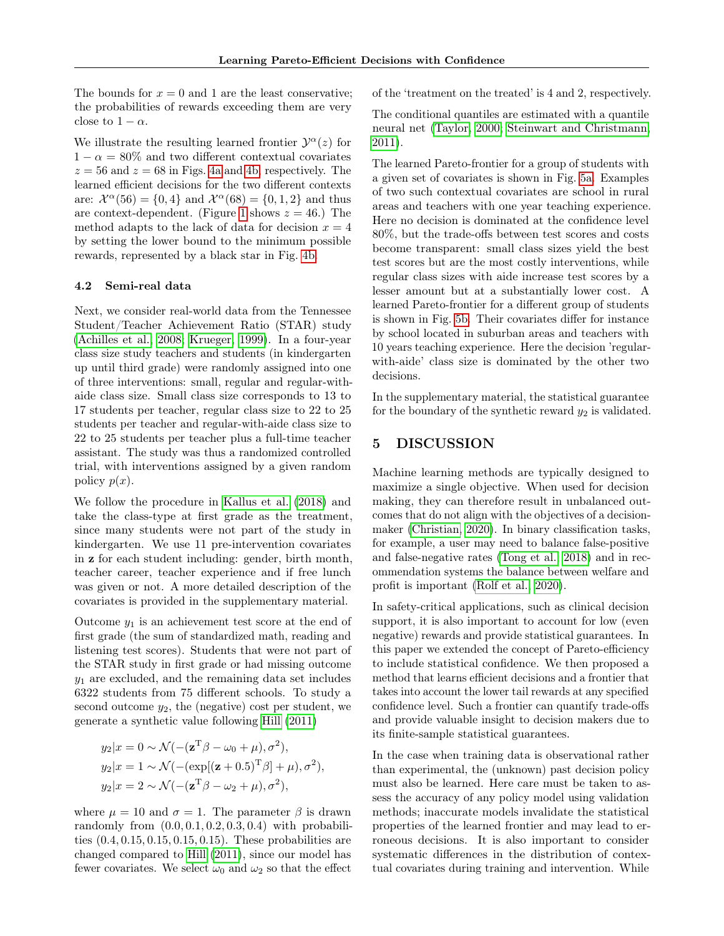The bounds for  $x = 0$  and 1 are the least conservative; the probabilities of rewards exceeding them are very close to  $1 - \alpha$ .

We illustrate the resulting learned frontier  $\mathcal{Y}^{\alpha}(z)$  for  $1 - \alpha = 80\%$  and two different contextual covariates  $z = 56$  and  $z = 68$  in Figs. [4a](#page-7-0) and [4b,](#page-7-0) respectively. The learned efficient decisions for the two different contexts are:  $\mathcal{X}^{\alpha}(56) = \{0, 4\}$  and  $\mathcal{X}^{\alpha}(68) = \{0, 1, 2\}$  and thus are context-dependent. (Figure [1](#page-1-1) shows  $z = 46$ .) The method adapts to the lack of data for decision  $x = 4$ by setting the lower bound to the minimum possible rewards, represented by a black star in Fig. [4b.](#page-7-0)

### <span id="page-5-0"></span>4.2 Semi-real data

Next, we consider real-world data from the Tennessee Student/Teacher Achievement Ratio (STAR) study [\(Achilles et al., 2008;](#page-8-19) [Krueger, 1999\)](#page-8-20). In a four-year class size study teachers and students (in kindergarten up until third grade) were randomly assigned into one of three interventions: small, regular and regular-withaide class size. Small class size corresponds to 13 to 17 students per teacher, regular class size to 22 to 25 students per teacher and regular-with-aide class size to 22 to 25 students per teacher plus a full-time teacher assistant. The study was thus a randomized controlled trial, with interventions assigned by a given random policy  $p(x)$ .

We follow the procedure in [Kallus et al.](#page-8-21) [\(2018\)](#page-8-21) and take the class-type at first grade as the treatment, since many students were not part of the study in kindergarten. We use 11 pre-intervention covariates in z for each student including: gender, birth month, teacher career, teacher experience and if free lunch was given or not. A more detailed description of the covariates is provided in the supplementary material.

Outcome  $y_1$  is an achievement test score at the end of first grade (the sum of standardized math, reading and listening test scores). Students that were not part of the STAR study in first grade or had missing outcome  $y_1$  are excluded, and the remaining data set includes 6322 students from 75 different schools. To study a second outcome  $y_2$ , the (negative) cost per student, we generate a synthetic value following [Hill](#page-8-22) [\(2011\)](#page-8-22)

$$
y_2|x = 0 \sim \mathcal{N}(-(\mathbf{z}^T \beta - \omega_0 + \mu), \sigma^2),
$$
  
\n
$$
y_2|x = 1 \sim \mathcal{N}(-(\exp[(\mathbf{z} + 0.5)^T \beta] + \mu), \sigma^2),
$$
  
\n
$$
y_2|x = 2 \sim \mathcal{N}(-(\mathbf{z}^T \beta - \omega_2 + \mu), \sigma^2),
$$

where  $\mu = 10$  and  $\sigma = 1$ . The parameter  $\beta$  is drawn randomly from  $(0.0, 0.1, 0.2, 0.3, 0.4)$  with probabilities (0.4, 0.15, 0.15, 0.15, 0.15). These probabilities are changed compared to [Hill](#page-8-22) [\(2011\)](#page-8-22), since our model has fewer covariates. We select  $\omega_0$  and  $\omega_2$  so that the effect of the 'treatment on the treated' is 4 and 2, respectively.

The conditional quantiles are estimated with a quantile neural net [\(Taylor, 2000;](#page-9-5) [Steinwart and Christmann,](#page-9-6) [2011\)](#page-9-6).

The learned Pareto-frontier for a group of students with a given set of covariates is shown in Fig. [5a.](#page-7-1) Examples of two such contextual covariates are school in rural areas and teachers with one year teaching experience. Here no decision is dominated at the confidence level 80%, but the trade-offs between test scores and costs become transparent: small class sizes yield the best test scores but are the most costly interventions, while regular class sizes with aide increase test scores by a lesser amount but at a substantially lower cost. A learned Pareto-frontier for a different group of students is shown in Fig. [5b.](#page-7-1) Their covariates differ for instance by school located in suburban areas and teachers with 10 years teaching experience. Here the decision 'regularwith-aide' class size is dominated by the other two decisions.

In the supplementary material, the statistical guarantee for the boundary of the synthetic reward  $y_2$  is validated.

# 5 DISCUSSION

Machine learning methods are typically designed to maximize a single objective. When used for decision making, they can therefore result in unbalanced outcomes that do not align with the objectives of a decisionmaker [\(Christian, 2020\)](#page-8-23). In binary classification tasks, for example, a user may need to balance false-positive and false-negative rates [\(Tong et al., 2018\)](#page-9-7) and in recommendation systems the balance between welfare and profit is important [\(Rolf et al., 2020\)](#page-8-3).

In safety-critical applications, such as clinical decision support, it is also important to account for low (even negative) rewards and provide statistical guarantees. In this paper we extended the concept of Pareto-efficiency to include statistical confidence. We then proposed a method that learns efficient decisions and a frontier that takes into account the lower tail rewards at any specified confidence level. Such a frontier can quantify trade-offs and provide valuable insight to decision makers due to its finite-sample statistical guarantees.

In the case when training data is observational rather than experimental, the (unknown) past decision policy must also be learned. Here care must be taken to assess the accuracy of any policy model using validation methods; inaccurate models invalidate the statistical properties of the learned frontier and may lead to erroneous decisions. It is also important to consider systematic differences in the distribution of contextual covariates during training and intervention. While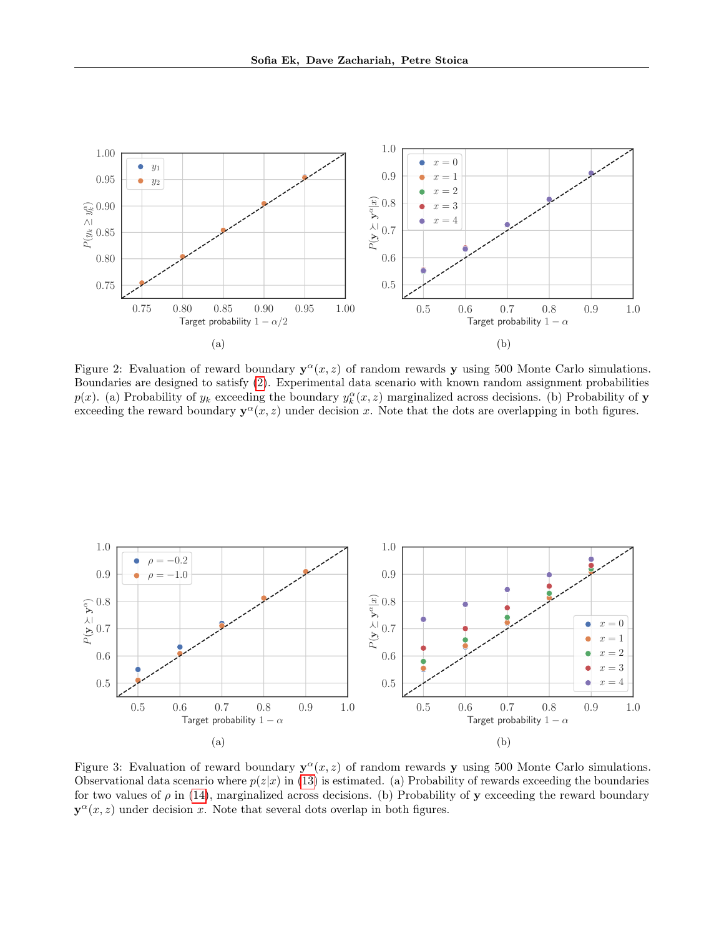<span id="page-6-0"></span>

Figure 2: Evaluation of reward boundary  $y^{\alpha}(x, z)$  of random rewards y using 500 Monte Carlo simulations. Boundaries are designed to satisfy [\(2\)](#page-1-2). Experimental data scenario with known random assignment probabilities  $p(x)$ . (a) Probability of  $y_k$  exceeding the boundary  $y_k^{\alpha}(x, z)$  marginalized across decisions. (b) Probability of **y** exceeding the reward boundary  $y^{\alpha}(x, z)$  under decision x. Note that the dots are overlapping in both figures.

<span id="page-6-1"></span>

Figure 3: Evaluation of reward boundary  $y^{\alpha}(x, z)$  of random rewards y using 500 Monte Carlo simulations. Observational data scenario where  $p(z|x)$  in [\(13\)](#page-4-4) is estimated. (a) Probability of rewards exceeding the boundaries for two values of  $\rho$  in [\(14\)](#page-4-2), marginalized across decisions. (b) Probability of y exceeding the reward boundary  $y^{\alpha}(x, z)$  under decision x. Note that several dots overlap in both figures.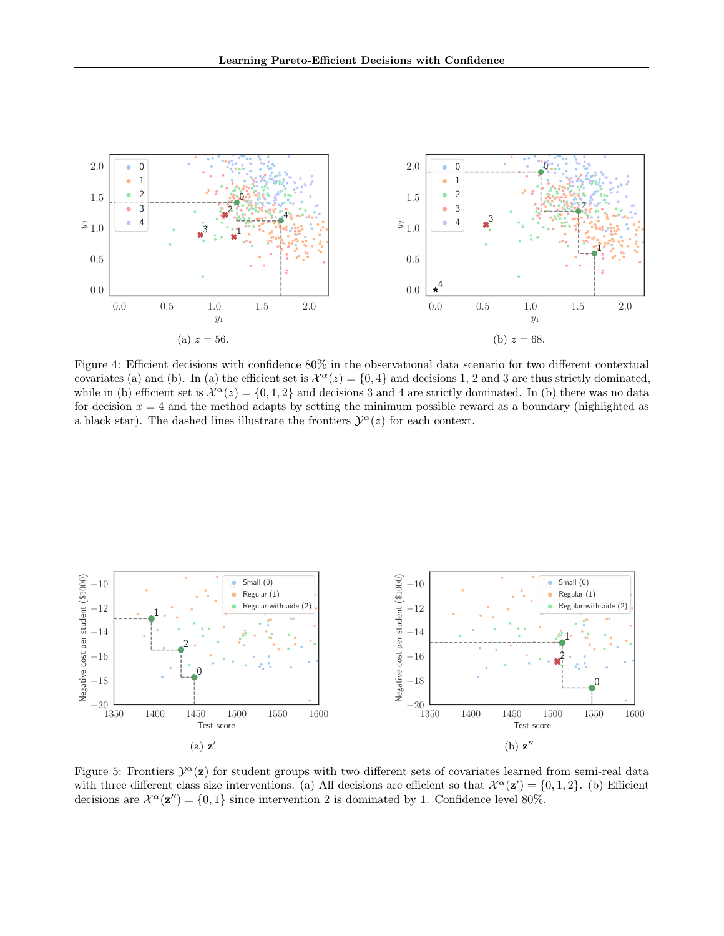<span id="page-7-0"></span>

Figure 4: Efficient decisions with confidence 80% in the observational data scenario for two different contextual covariates (a) and (b). In (a) the efficient set is  $\mathcal{X}^{\alpha}(z) = \{0, 4\}$  and decisions 1, 2 and 3 are thus strictly dominated, while in (b) efficient set is  $\mathcal{X}^{\alpha}(z) = \{0, 1, 2\}$  and decisions 3 and 4 are strictly dominated. In (b) there was no data for decision  $x = 4$  and the method adapts by setting the minimum possible reward as a boundary (highlighted as a black star). The dashed lines illustrate the frontiers  $\mathcal{Y}^{\alpha}(z)$  for each context.

<span id="page-7-1"></span>

Figure 5: Frontiers  $\mathcal{Y}^{\alpha}(\mathbf{z})$  for student groups with two different sets of covariates learned from semi-real data with three different class size interventions. (a) All decisions are efficient so that  $\mathcal{X}^{\alpha}(\mathbf{z}') = \{0, 1, 2\}$ . (b) Efficient decisions are  $\mathcal{X}^{\alpha}(\mathbf{z}^{"}) = \{0, 1\}$  since intervention 2 is dominated by 1. Confidence level 80%.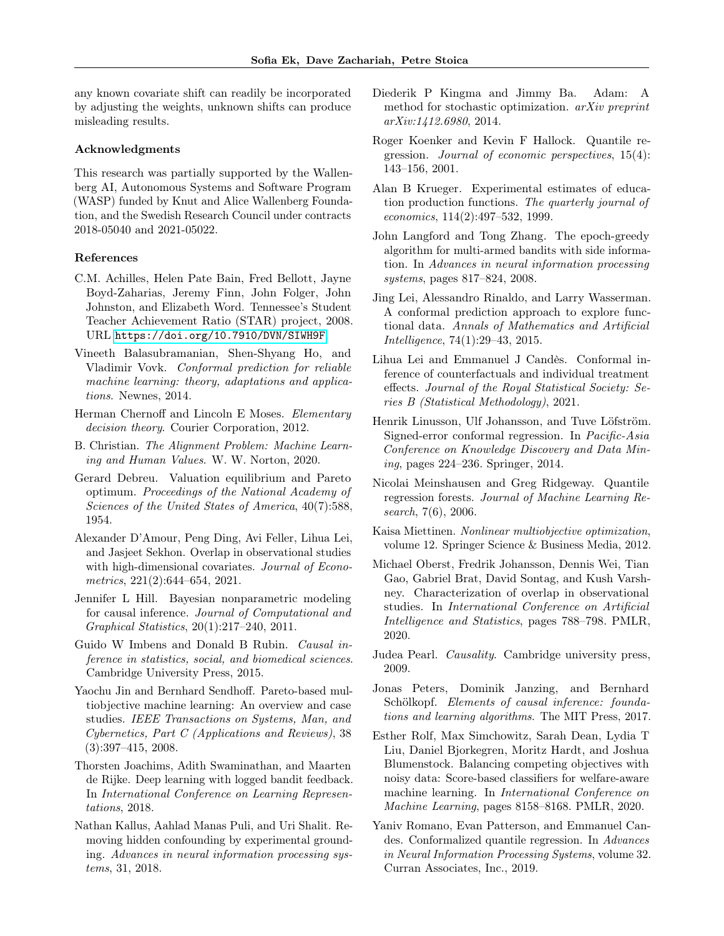any known covariate shift can readily be incorporated by adjusting the weights, unknown shifts can produce misleading results.

#### Acknowledgments

This research was partially supported by the Wallenberg AI, Autonomous Systems and Software Program (WASP) funded by Knut and Alice Wallenberg Foundation, and the Swedish Research Council under contracts 2018-05040 and 2021-05022.

#### References

- <span id="page-8-19"></span>C.M. Achilles, Helen Pate Bain, Fred Bellott, Jayne Boyd-Zaharias, Jeremy Finn, John Folger, John Johnston, and Elizabeth Word. Tennessee's Student Teacher Achievement Ratio (STAR) project, 2008. URL <https://doi.org/10.7910/DVN/SIWH9F>.
- <span id="page-8-11"></span>Vineeth Balasubramanian, Shen-Shyang Ho, and Vladimir Vovk. Conformal prediction for reliable machine learning: theory, adaptations and applications. Newnes, 2014.
- <span id="page-8-8"></span>Herman Chernoff and Lincoln E Moses. Elementary decision theory. Courier Corporation, 2012.
- <span id="page-8-23"></span>B. Christian. The Alignment Problem: Machine Learning and Human Values. W. W. Norton, 2020.
- <span id="page-8-2"></span>Gerard Debreu. Valuation equilibrium and Pareto optimum. Proceedings of the National Academy of Sciences of the United States of America, 40(7):588, 1954.
- <span id="page-8-14"></span>Alexander D'Amour, Peng Ding, Avi Feller, Lihua Lei, and Jasjeet Sekhon. Overlap in observational studies with high-dimensional covariates. Journal of Econometrics, 221(2):644–654, 2021.
- <span id="page-8-22"></span>Jennifer L Hill. Bayesian nonparametric modeling for causal inference. Journal of Computational and Graphical Statistics, 20(1):217–240, 2011.
- <span id="page-8-12"></span>Guido W Imbens and Donald B Rubin. Causal inference in statistics, social, and biomedical sciences. Cambridge University Press, 2015.
- <span id="page-8-1"></span>Yaochu Jin and Bernhard Sendhoff. Pareto-based multiobjective machine learning: An overview and case studies. IEEE Transactions on Systems, Man, and Cybernetics, Part C (Applications and Reviews), 38 (3):397–415, 2008.
- <span id="page-8-5"></span>Thorsten Joachims, Adith Swaminathan, and Maarten de Rijke. Deep learning with logged bandit feedback. In International Conference on Learning Representations, 2018.
- <span id="page-8-21"></span>Nathan Kallus, Aahlad Manas Puli, and Uri Shalit. Removing hidden confounding by experimental grounding. Advances in neural information processing systems, 31, 2018.
- <span id="page-8-24"></span>Diederik P Kingma and Jimmy Ba. Adam: A method for stochastic optimization. arXiv preprint arXiv:1412.6980, 2014.
- <span id="page-8-6"></span>Roger Koenker and Kevin F Hallock. Quantile regression. Journal of economic perspectives, 15(4): 143–156, 2001.
- <span id="page-8-20"></span>Alan B Krueger. Experimental estimates of education production functions. The quarterly journal of economics, 114(2):497–532, 1999.
- <span id="page-8-4"></span>John Langford and Tong Zhang. The epoch-greedy algorithm for multi-armed bandits with side information. In Advances in neural information processing systems, pages 817–824, 2008.
- <span id="page-8-15"></span>Jing Lei, Alessandro Rinaldo, and Larry Wasserman. A conformal prediction approach to explore functional data. Annals of Mathematics and Artificial Intelligence, 74(1):29–43, 2015.
- <span id="page-8-18"></span>Lihua Lei and Emmanuel J Candès. Conformal inference of counterfactuals and individual treatment effects. Journal of the Royal Statistical Society: Series B (Statistical Methodology), 2021.
- <span id="page-8-17"></span>Henrik Linusson, Ulf Johansson, and Tuve Löfström. Signed-error conformal regression. In Pacific-Asia Conference on Knowledge Discovery and Data Mining, pages 224–236. Springer, 2014.
- <span id="page-8-7"></span>Nicolai Meinshausen and Greg Ridgeway. Quantile regression forests. Journal of Machine Learning Research, 7(6), 2006.
- <span id="page-8-0"></span>Kaisa Miettinen. Nonlinear multiobjective optimization, volume 12. Springer Science & Business Media, 2012.
- <span id="page-8-13"></span>Michael Oberst, Fredrik Johansson, Dennis Wei, Tian Gao, Gabriel Brat, David Sontag, and Kush Varshney. Characterization of overlap in observational studies. In International Conference on Artificial Intelligence and Statistics, pages 788–798. PMLR, 2020.
- <span id="page-8-9"></span>Judea Pearl. Causality. Cambridge university press, 2009.
- <span id="page-8-10"></span>Jonas Peters, Dominik Janzing, and Bernhard Schölkopf. Elements of causal inference: foundations and learning algorithms. The MIT Press, 2017.
- <span id="page-8-3"></span>Esther Rolf, Max Simchowitz, Sarah Dean, Lydia T Liu, Daniel Bjorkegren, Moritz Hardt, and Joshua Blumenstock. Balancing competing objectives with noisy data: Score-based classifiers for welfare-aware machine learning. In International Conference on Machine Learning, pages 8158–8168. PMLR, 2020.
- <span id="page-8-16"></span>Yaniv Romano, Evan Patterson, and Emmanuel Candes. Conformalized quantile regression. In Advances in Neural Information Processing Systems, volume 32. Curran Associates, Inc., 2019.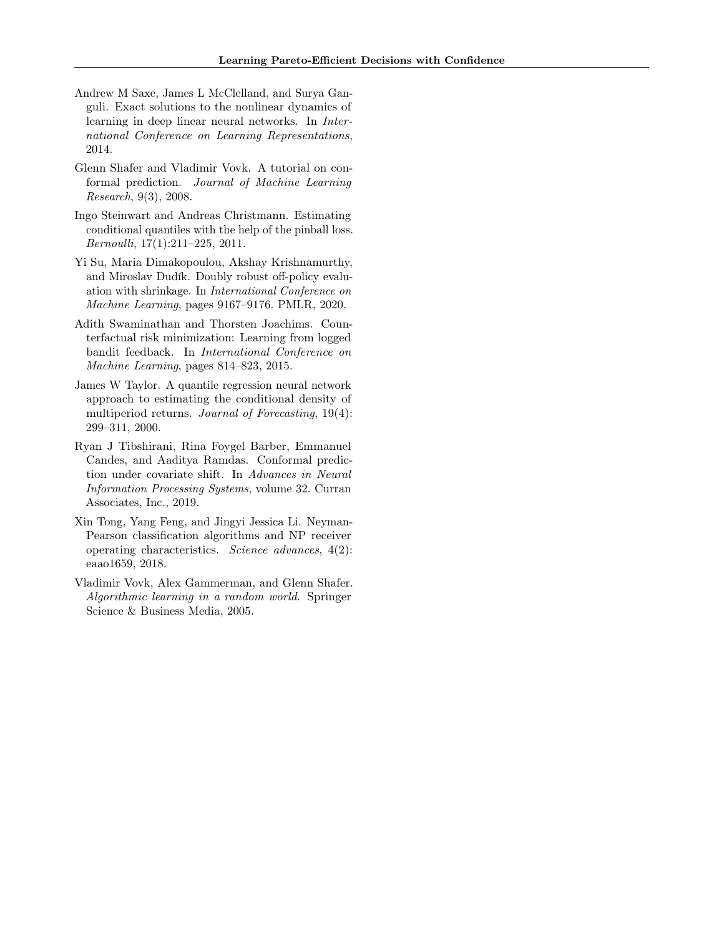- <span id="page-9-8"></span>Andrew M Saxe, James L McClelland, and Surya Ganguli. Exact solutions to the nonlinear dynamics of learning in deep linear neural networks. In International Conference on Learning Representations, 2014.
- <span id="page-9-3"></span>Glenn Shafer and Vladimir Vovk. A tutorial on conformal prediction. Journal of Machine Learning Research, 9(3), 2008.
- <span id="page-9-6"></span>Ingo Steinwart and Andreas Christmann. Estimating conditional quantiles with the help of the pinball loss. Bernoulli, 17(1):211–225, 2011.
- <span id="page-9-1"></span>Yi Su, Maria Dimakopoulou, Akshay Krishnamurthy, and Miroslav Dudík. Doubly robust off-policy evaluation with shrinkage. In International Conference on Machine Learning, pages 9167–9176. PMLR, 2020.
- <span id="page-9-0"></span>Adith Swaminathan and Thorsten Joachims. Counterfactual risk minimization: Learning from logged bandit feedback. In International Conference on Machine Learning, pages 814–823, 2015.
- <span id="page-9-5"></span>James W Taylor. A quantile regression neural network approach to estimating the conditional density of multiperiod returns. *Journal of Forecasting*, 19(4): 299–311, 2000.
- <span id="page-9-4"></span>Ryan J Tibshirani, Rina Foygel Barber, Emmanuel Candes, and Aaditya Ramdas. Conformal prediction under covariate shift. In Advances in Neural Information Processing Systems, volume 32. Curran Associates, Inc., 2019.
- <span id="page-9-7"></span>Xin Tong, Yang Feng, and Jingyi Jessica Li. Neyman-Pearson classification algorithms and NP receiver operating characteristics. Science advances, 4(2): eaao1659, 2018.
- <span id="page-9-2"></span>Vladimir Vovk, Alex Gammerman, and Glenn Shafer. Algorithmic learning in a random world. Springer Science & Business Media, 2005.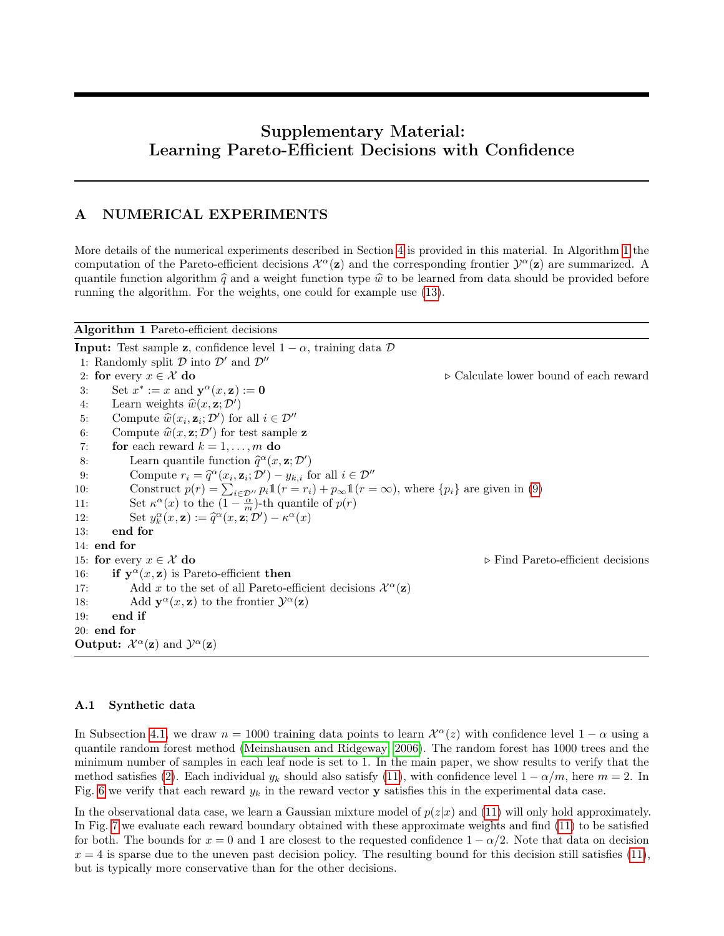# Supplementary Material: Learning Pareto-Efficient Decisions with Confidence

## A NUMERICAL EXPERIMENTS

More details of the numerical experiments described in Section [4](#page-4-0) is provided in this material. In Algorithm [1](#page-10-0) the computation of the Pareto-efficient decisions  $\mathcal{X}^{\alpha}(\mathbf{z})$  and the corresponding frontier  $\mathcal{Y}^{\alpha}(\mathbf{z})$  are summarized. A quantile function algorithm  $\hat{q}$  and a weight function type  $\hat{w}$  to be learned from data should be provided before running the algorithm. For the weights, one could for example use [\(13\)](#page-4-4).

<span id="page-10-0"></span>Algorithm 1 Pareto-efficient decisions

**Input:** Test sample **z**, confidence level  $1 - \alpha$ , training data  $\mathcal{D}$ 1: Randomly split  $D$  into  $D'$  and  $D''$ <br>2: **for** every  $x \in \mathcal{X}$  **do** 2: for every  $x \in \mathcal{X}$  do  $\Rightarrow$  Calculate lower bound of each reward 3: Set  $x^* := x$  and  $\mathbf{v}^{\alpha}(x, \mathbf{z}) := \mathbf{0}$ 3: Set  $x^* := x$  and  $y^{\alpha}(x, z) := 0$ 4: Learn weights  $\widehat{w}(x, \mathbf{z}; \mathcal{D}')$ 5: Compute  $\widehat{w}(x_i, \mathbf{z}_i; \mathcal{D}')$  for all  $i \in \mathcal{D}''$ <br>6. Compute  $\widehat{w}(x, \mathbf{z}; \mathcal{D}')$  for test sample 6: Compute  $\widehat{w}(x, z; \mathcal{D}')$  for test sample z<br>  $\mathbf{z}$  for each roward  $k-1$  m do 7: for each reward  $k = 1, \ldots, m$  do 8: Learn quantile function  $\hat{q}^{\alpha}(x, \mathbf{z}; \mathcal{D}')$ <br>  $\alpha$  Compute  $x_i = \hat{\alpha}^{\alpha}(x_i, \mathbf{z}; \mathcal{D}') = y_i$ , for 9: Compute  $r_i = \hat{q}^{\alpha}(x_i, \mathbf{z}_i; \mathcal{D}') - y_{k,i}$  for all  $i \in \mathcal{D}''$ <br>
10: Construct  $p(r) = \sum_{i \in \mathcal{D}''} p_i \mathbb{1}(r = r_i) + p_{\infty} \mathbb{1}(r = \infty)$ , where  $\{p_i\}$  are given in [\(9\)](#page-2-8)  $\alpha(x_i, \mathbf{z}_i; \mathcal{D}') - y_{k,i}$  for all  $i \in \mathcal{D}''$ 11: Set  $\kappa^{\alpha}(x)$  to the  $\left(1 - \frac{\alpha}{m}\right)$ -th quantile of  $p(r)$ 12: Set  $y_k^{\alpha}(x, \mathbf{z}) := \hat{q}^{\alpha}(x, \mathbf{z}; \mathcal{D}') - \kappa^{\alpha}(x)$ <br>
12: and for 13: end for 14: end for 15: for every  $x \in \mathcal{X}$  do  $\Rightarrow$  Find Pareto-efficient decisions  $\Rightarrow$  Find Pareto-efficient decisions  $\Rightarrow$  Find Pareto-efficient decisions 16: if  $y^{\alpha}(x, z)$  is Pareto-efficient then 17: Add x to the set of all Pareto-efficient decisions  $\mathcal{X}^{\alpha}(\mathbf{z})$ 18: Add  $y^{\alpha}(x, z)$  to the frontier  $\mathcal{Y}^{\alpha}(z)$ 19: end if 20: end for Output:  $\mathcal{X}^\alpha(\mathbf{z})$  and  $\mathcal{Y}^\alpha(\mathbf{z})$ 

### A.1 Synthetic data

In Subsection [4.1,](#page-4-5) we draw  $n = 1000$  training data points to learn  $\mathcal{X}^{\alpha}(z)$  with confidence level  $1 - \alpha$  using a quantile random forest method [\(Meinshausen and Ridgeway, 2006\)](#page-8-7). The random forest has 1000 trees and the minimum number of samples in each leaf node is set to 1. In the main paper, we show results to verify that the method satisfies [\(2\)](#page-1-2). Each individual  $y_k$  should also satisfy [\(11\)](#page-3-1), with confidence level  $1 - \alpha/m$ , here  $m = 2$ . In Fig. [6](#page-11-0) we verify that each reward  $y_k$  in the reward vector **y** satisfies this in the experimental data case.

In the observational data case, we learn a Gaussian mixture model of  $p(z|x)$  and [\(11\)](#page-3-1) will only hold approximately. In Fig. [7](#page-11-1) we evaluate each reward boundary obtained with these approximate weights and find [\(11\)](#page-3-1) to be satisfied for both. The bounds for  $x = 0$  and 1 are closest to the requested confidence  $1 - \alpha/2$ . Note that data on decision  $x = 4$  is sparse due to the uneven past decision policy. The resulting bound for this decision still satisfies [\(11\)](#page-3-1), but is typically more conservative than for the other decisions.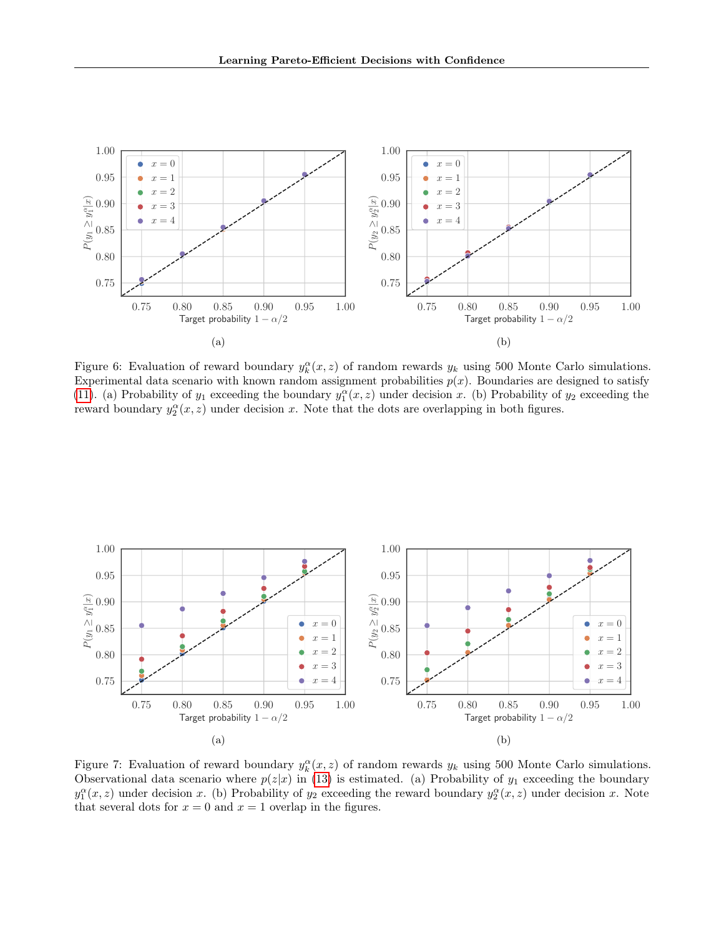<span id="page-11-0"></span>

Figure 6: Evaluation of reward boundary  $y_k^{\alpha}(x, z)$  of random rewards  $y_k$  using 500 Monte Carlo simulations. Experimental data scenario with known random assignment probabilities  $p(x)$ . Boundaries are designed to satisfy [\(11\)](#page-3-1). (a) Probability of  $y_1$  exceeding the boundary  $y_1^{\alpha}(x, z)$  under decision x. (b) Probability of  $y_2$  exceeding the reward boundary  $y_2^{\alpha}(x, z)$  under decision x. Note that the dots are overlapping in both figures.

<span id="page-11-1"></span>

Figure 7: Evaluation of reward boundary  $y_k^{\alpha}(x, z)$  of random rewards  $y_k$  using 500 Monte Carlo simulations. Observational data scenario where  $p(z|x)$  in [\(13\)](#page-4-4) is estimated. (a) Probability of  $y_1$  exceeding the boundary  $y_1^{\alpha}(x, z)$  under decision x. (b) Probability of  $y_2$  exceeding the reward boundary  $y_2^{\alpha}(x, z)$  under decision x. Note that several dots for  $x = 0$  and  $x = 1$  overlap in the figures.